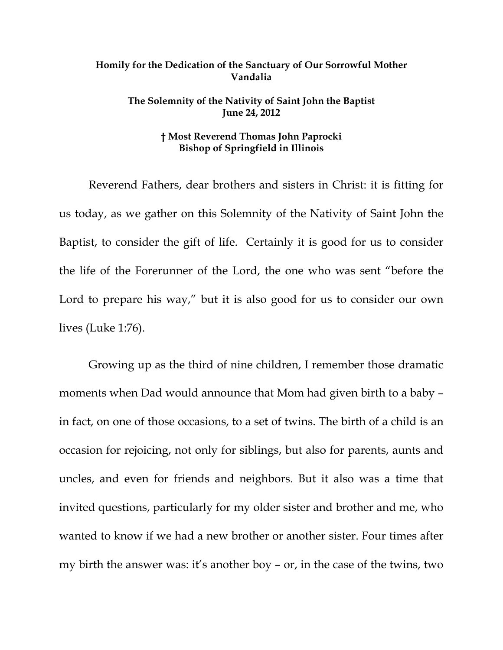## **Homily for the Dedication of the Sanctuary of Our Sorrowful Mother Vandalia**

## **The Solemnity of the Nativity of Saint John the Baptist June 24, 2012**

## **† Most Reverend Thomas John Paprocki Bishop of Springfield in Illinois**

Reverend Fathers, dear brothers and sisters in Christ: it is fitting for us today, as we gather on this Solemnity of the Nativity of Saint John the Baptist, to consider the gift of life. Certainly it is good for us to consider the life of the Forerunner of the Lord, the one who was sent "before the Lord to prepare his way," but it is also good for us to consider our own lives (Luke 1:76).

Growing up as the third of nine children, I remember those dramatic moments when Dad would announce that Mom had given birth to a baby – in fact, on one of those occasions, to a set of twins. The birth of a child is an occasion for rejoicing, not only for siblings, but also for parents, aunts and uncles, and even for friends and neighbors. But it also was a time that invited questions, particularly for my older sister and brother and me, who wanted to know if we had a new brother or another sister. Four times after my birth the answer was: it's another boy – or, in the case of the twins, two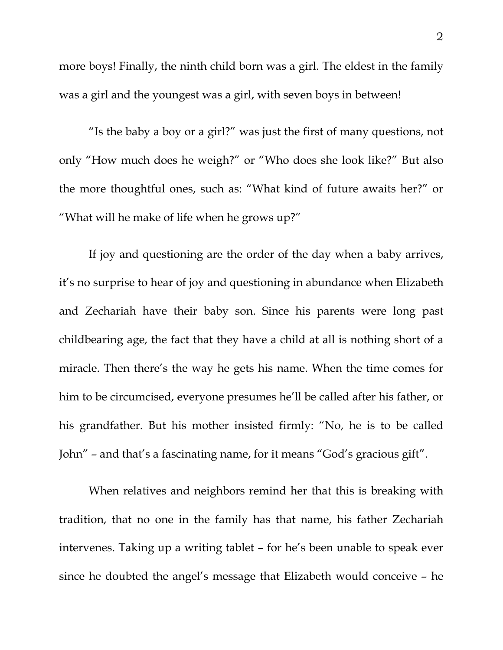more boys! Finally, the ninth child born was a girl. The eldest in the family was a girl and the youngest was a girl, with seven boys in between!

"Is the baby a boy or a girl?" was just the first of many questions, not only "How much does he weigh?" or "Who does she look like?" But also the more thoughtful ones, such as: "What kind of future awaits her?" or "What will he make of life when he grows up?"

If joy and questioning are the order of the day when a baby arrives, it's no surprise to hear of joy and questioning in abundance when Elizabeth and Zechariah have their baby son. Since his parents were long past childbearing age, the fact that they have a child at all is nothing short of a miracle. Then there's the way he gets his name. When the time comes for him to be circumcised, everyone presumes he'll be called after his father, or his grandfather. But his mother insisted firmly: "No, he is to be called John" – and that's a fascinating name, for it means "God's gracious gift".

 When relatives and neighbors remind her that this is breaking with tradition, that no one in the family has that name, his father Zechariah intervenes. Taking up a writing tablet – for he's been unable to speak ever since he doubted the angel's message that Elizabeth would conceive – he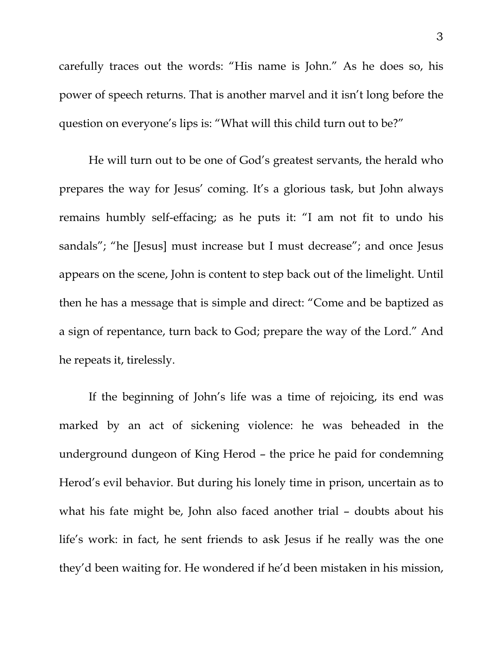carefully traces out the words: "His name is John." As he does so, his power of speech returns. That is another marvel and it isn't long before the question on everyone's lips is: "What will this child turn out to be?"

He will turn out to be one of God's greatest servants, the herald who prepares the way for Jesus' coming. It's a glorious task, but John always remains humbly self-effacing; as he puts it: "I am not fit to undo his sandals"; "he [Jesus] must increase but I must decrease"; and once Jesus appears on the scene, John is content to step back out of the limelight. Until then he has a message that is simple and direct: "Come and be baptized as a sign of repentance, turn back to God; prepare the way of the Lord." And he repeats it, tirelessly.

If the beginning of John's life was a time of rejoicing, its end was marked by an act of sickening violence: he was beheaded in the underground dungeon of King Herod – the price he paid for condemning Herod's evil behavior. But during his lonely time in prison, uncertain as to what his fate might be, John also faced another trial – doubts about his life's work: in fact, he sent friends to ask Jesus if he really was the one they'd been waiting for. He wondered if he'd been mistaken in his mission,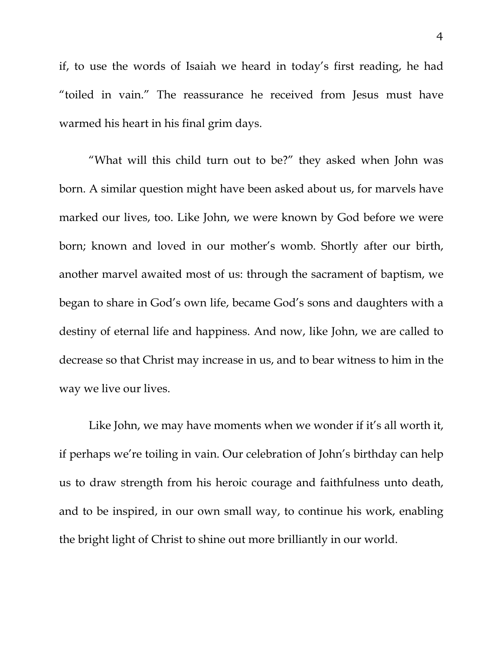if, to use the words of Isaiah we heard in today's first reading, he had "toiled in vain." The reassurance he received from Jesus must have warmed his heart in his final grim days.

"What will this child turn out to be?" they asked when John was born. A similar question might have been asked about us, for marvels have marked our lives, too. Like John, we were known by God before we were born; known and loved in our mother's womb. Shortly after our birth, another marvel awaited most of us: through the sacrament of baptism, we began to share in God's own life, became God's sons and daughters with a destiny of eternal life and happiness. And now, like John, we are called to decrease so that Christ may increase in us, and to bear witness to him in the way we live our lives.

Like John, we may have moments when we wonder if it's all worth it, if perhaps we're toiling in vain. Our celebration of John's birthday can help us to draw strength from his heroic courage and faithfulness unto death, and to be inspired, in our own small way, to continue his work, enabling the bright light of Christ to shine out more brilliantly in our world.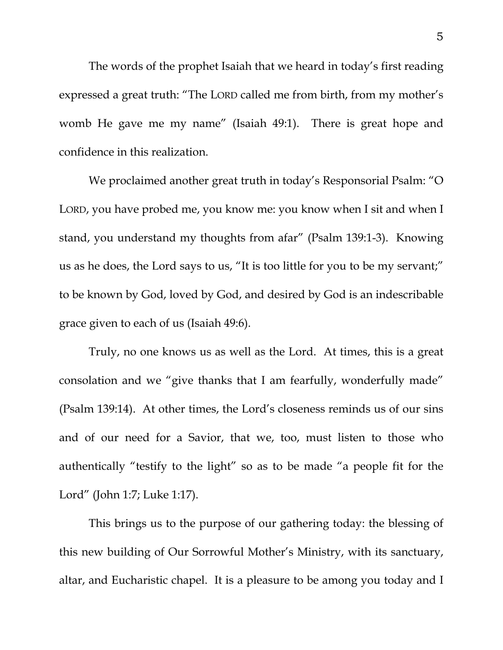The words of the prophet Isaiah that we heard in today's first reading expressed a great truth: "The LORD called me from birth, from my mother's womb He gave me my name" (Isaiah 49:1). There is great hope and confidence in this realization.

We proclaimed another great truth in today's Responsorial Psalm: "O LORD, you have probed me, you know me: you know when I sit and when I stand, you understand my thoughts from afar" (Psalm 139:1-3). Knowing us as he does, the Lord says to us, "It is too little for you to be my servant;" to be known by God, loved by God, and desired by God is an indescribable grace given to each of us (Isaiah 49:6).

 Truly, no one knows us as well as the Lord. At times, this is a great consolation and we "give thanks that I am fearfully, wonderfully made" (Psalm 139:14). At other times, the Lord's closeness reminds us of our sins and of our need for a Savior, that we, too, must listen to those who authentically "testify to the light" so as to be made "a people fit for the Lord" (John 1:7; Luke 1:17).

 This brings us to the purpose of our gathering today: the blessing of this new building of Our Sorrowful Mother's Ministry, with its sanctuary, altar, and Eucharistic chapel. It is a pleasure to be among you today and I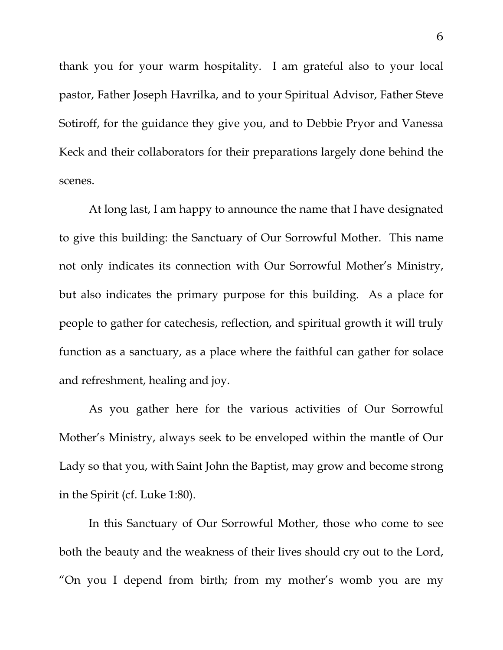thank you for your warm hospitality. I am grateful also to your local pastor, Father Joseph Havrilka, and to your Spiritual Advisor, Father Steve Sotiroff, for the guidance they give you, and to Debbie Pryor and Vanessa Keck and their collaborators for their preparations largely done behind the scenes.

 At long last, I am happy to announce the name that I have designated to give this building: the Sanctuary of Our Sorrowful Mother. This name not only indicates its connection with Our Sorrowful Mother's Ministry, but also indicates the primary purpose for this building. As a place for people to gather for catechesis, reflection, and spiritual growth it will truly function as a sanctuary, as a place where the faithful can gather for solace and refreshment, healing and joy.

 As you gather here for the various activities of Our Sorrowful Mother's Ministry, always seek to be enveloped within the mantle of Our Lady so that you, with Saint John the Baptist, may grow and become strong in the Spirit (cf. Luke 1:80).

 In this Sanctuary of Our Sorrowful Mother, those who come to see both the beauty and the weakness of their lives should cry out to the Lord, "On you I depend from birth; from my mother's womb you are my